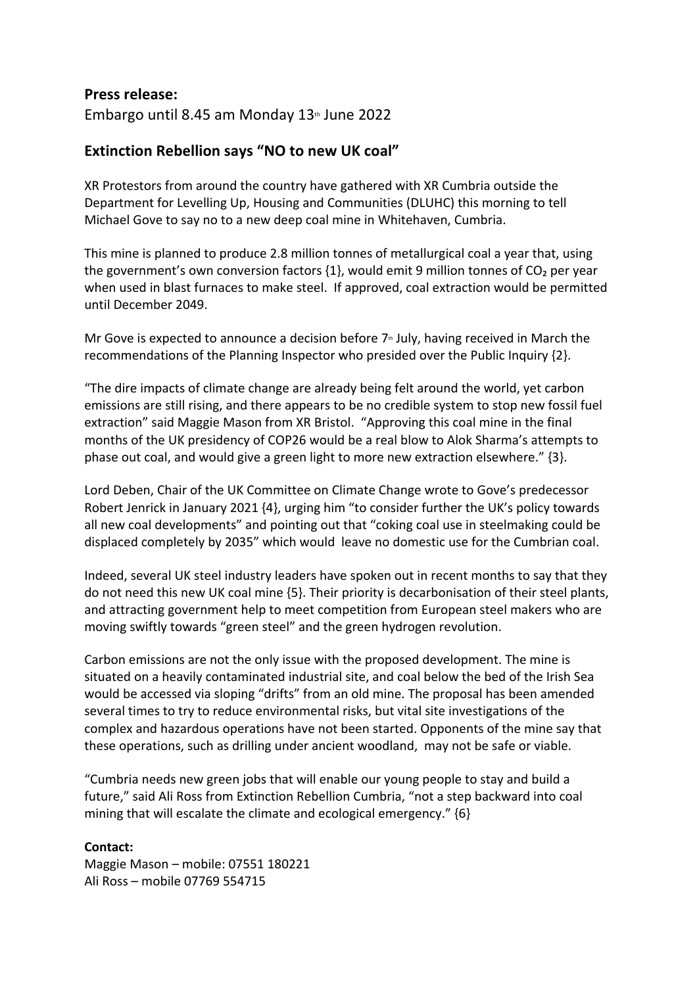## **Press release:**

Embargo until 8.45 am Monday  $13<sup>th</sup>$  June 2022

## **Extinction Rebellion says "NO to new UK coal"**

XR Protestors from around the country have gathered with XR Cumbria outside the Department for Levelling Up, Housing and Communities (DLUHC) this morning to tell Michael Gove to say no to a new deep coal mine in Whitehaven, Cumbria.

This mine is planned to produce 2.8 million tonnes of metallurgical coal a year that, using the government's own conversion factors  $\{1\}$ , would emit 9 million tonnes of CO<sub>2</sub> per year when used in blast furnaces to make steel. If approved, coal extraction would be permitted until December 2049.

Mr Gove is expected to announce a decision before  $7<sup>th</sup>$  July, having received in March the recommendations of the Planning Inspector who presided over the Public Inquiry {2}.

"The dire impacts of climate change are already being felt around the world, yet carbon emissions are still rising, and there appears to be no credible system to stop new fossil fuel extraction" said Maggie Mason from XR Bristol. "Approving this coal mine in the final months of the UK presidency of COP26 would be a real blow to Alok Sharma's attempts to phase out coal, and would give a green light to more new extraction elsewhere." {3}.

Lord Deben, Chair of the UK Committee on Climate Change wrote to Gove's predecessor Robert Jenrick in January 2021 {4}, urging him "to consider further the UK's policy towards all new coal developments" and pointing out that "coking coal use in steelmaking could be displaced completely by 2035" which would leave no domestic use for the Cumbrian coal.

Indeed, several UK steel industry leaders have spoken out in recent months to say that they do not need this new UK coal mine {5}. Their priority is decarbonisation of their steel plants, and attracting government help to meet competition from European steel makers who are moving swiftly towards "green steel" and the green hydrogen revolution.

Carbon emissions are not the only issue with the proposed development. The mine is situated on a heavily contaminated industrial site, and coal below the bed of the Irish Sea would be accessed via sloping "drifts" from an old mine. The proposal has been amended several times to try to reduce environmental risks, but vital site investigations of the complex and hazardous operations have not been started. Opponents of the mine say that these operations, such as drilling under ancient woodland, may not be safe or viable.

"Cumbria needs new green jobs that will enable our young people to stay and build a future," said Ali Ross from Extinction Rebellion Cumbria, "not a step backward into coal mining that will escalate the climate and ecological emergency." {6}

## **Contact:**

Maggie Mason – mobile: 07551 180221 Ali Ross – mobile 07769 554715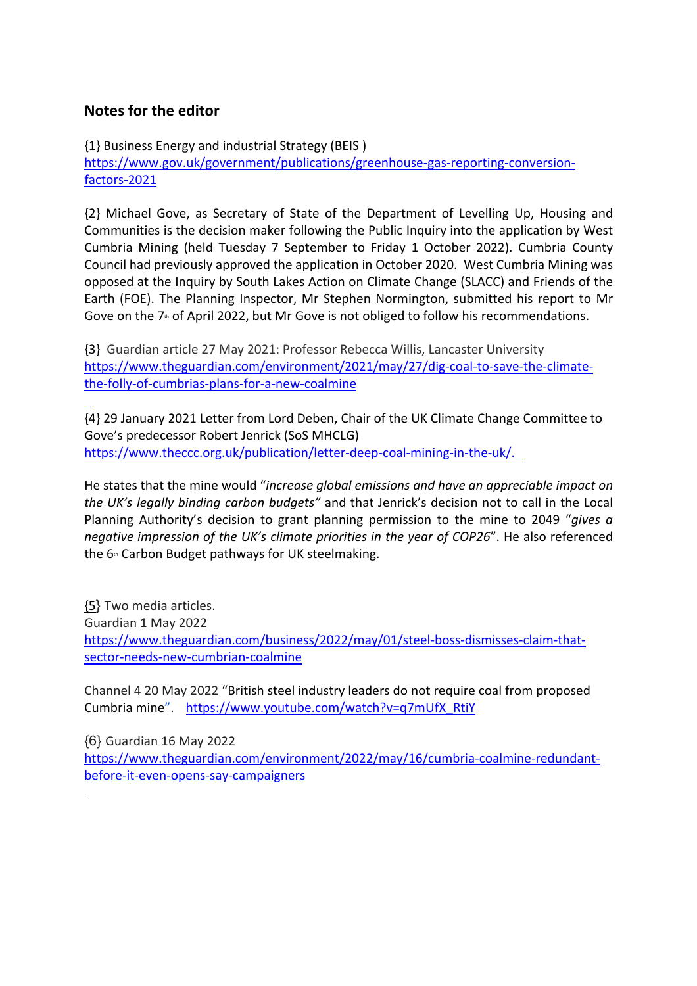## **Notes for the editor**

l,

{1} Business Energy and industrial Strategy (BEIS ) https://www.gov.uk/government/publications/greenhouse-gas-reporting-conversionfactors-2021

{2} Michael Gove, as Secretary of State of the Department of Levelling Up, Housing and Communities is the decision maker following the Public Inquiry into the application by West Cumbria Mining (held Tuesday 7 September to Friday 1 October 2022). Cumbria County Council had previously approved the application in October 2020. West Cumbria Mining was opposed at the Inquiry by South Lakes Action on Climate Change (SLACC) and Friends of the Earth (FOE). The Planning Inspector, Mr Stephen Normington, submitted his report to Mr Gove on the 7<sup>th</sup> of April 2022, but Mr Gove is not obliged to follow his recommendations.

{3} Guardian article 27 May 2021: Professor Rebecca Willis, Lancaster University https://www.theguardian.com/environment/2021/may/27/dig-coal-to-save-the-climatethe-folly-of-cumbrias-plans-for-a-new-coalmine

{4} 29 January 2021 Letter from Lord Deben, Chair of the UK Climate Change Committee to Gove's predecessor Robert Jenrick (SoS MHCLG) https://www.theccc.org.uk/publication/letter-deep-coal-mining-in-the-uk/.

He states that the mine would "*increase global emissions and have an appreciable impact on the UK's legally binding carbon budgets"* and that Jenrick's decision not to call in the Local Planning Authority's decision to grant planning permission to the mine to 2049 "*gives a negative impression of the UK's climate priorities in the year of COP26*". He also referenced the  $6<sup>th</sup>$  Carbon Budget pathways for UK steelmaking.

{5} Two media articles. Guardian 1 May 2022 https://www.theguardian.com/business/2022/may/01/steel-boss-dismisses-claim-thatsector-needs-new-cumbrian-coalmine

Channel 4 20 May 2022 "British steel industry leaders do not require coal from proposed Cumbria mine". https://www.youtube.com/watch?v=q7mUfX\_RtiY

{6} Guardian 16 May 2022 https://www.theguardian.com/environment/2022/may/16/cumbria-coalmine-redundantbefore-it-even-opens-say-campaigners